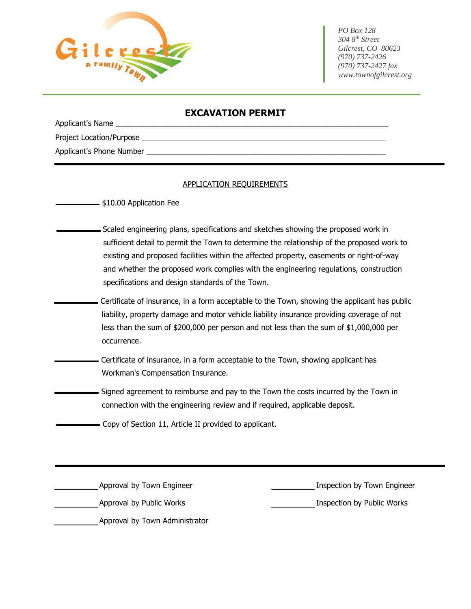

 *PO Box 128 304 8th Street Gilcrest, CO 80623 (970) 737-2426 (970) 737-2427 fax www.townofgilcrest.org*

## **EXCAVATION PERMIT**

Applicant's Name Project Location/Purpose Applicant's Phone Number

## APPLICATION REQUIREMENTS

 $\frac{1}{2}$ \$10.00 Application Fee

- Scaled engineering plans, specifications and sketches showing the proposed work in sufficient detail to permit the Town to determine the relationship of the proposed work to existing and proposed facilities within the affected property, easements or right-of-way and whether the proposed work complies with the engineering regulations, construction specifications and design standards of the Town.
- Certificate of insurance, in a form acceptable to the Town, showing the applicant has public liability, property damage and motor vehicle liability insurance providing coverage of not less than the sum of \$200,000 per person and not less than the sum of \$1,000,000 per occurrence.
	- Certificate of insurance, in a form acceptable to the Town, showing applicant has Workman's Compensation Insurance.
- Signed agreement to reimburse and pay to the Town the costs incurred by the Town in connection with the engineering review and if required, applicable deposit.
	- Copy of Section 11, Article II provided to applicant.

Approval by Town Engineer **Inspection by Town Engineer** Inspection by Town Engineer

Approval by Public Works **Inspection by Public Works** Approval by Public Works **Inspection** by Public Works

Approval by Town Administrator